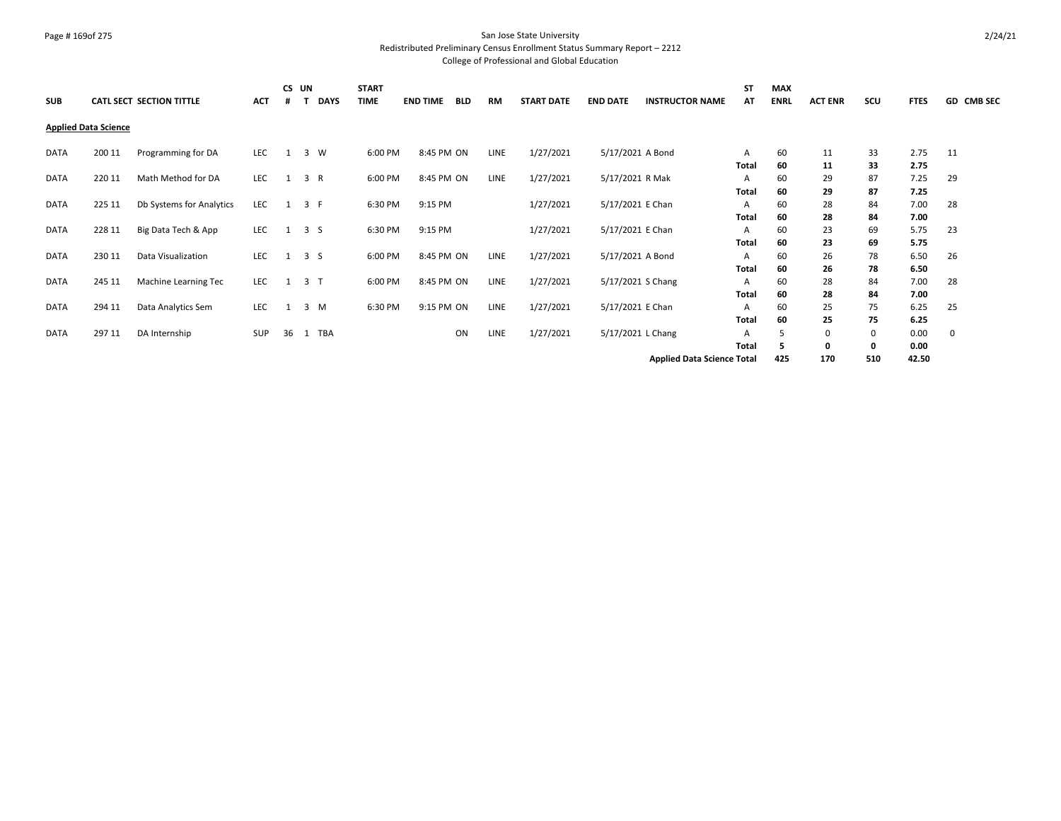#### Page # 169of 275 San Jose State University Redistributed Preliminary Census Enrollment Status Summary Report – 2212

| <b>SUB</b>  |                             | CATL SECT SECTION TITTLE | ACT        | CS UN<br>#   | <b>DAYS</b>    | <b>START</b><br>TIME | <b>END TIME</b> | BLD | <b>RM</b>   | <b>START DATE</b> | <b>END DATE</b>   | <b>INSTRUCTOR NAME</b>            | <b>ST</b><br>ΑT | MAX<br><b>ENRL</b> | <b>ACT ENR</b> | scu | <b>FTES</b> | GD CMB SEC |
|-------------|-----------------------------|--------------------------|------------|--------------|----------------|----------------------|-----------------|-----|-------------|-------------------|-------------------|-----------------------------------|-----------------|--------------------|----------------|-----|-------------|------------|
|             | <b>Applied Data Science</b> |                          |            |              |                |                      |                 |     |             |                   |                   |                                   |                 |                    |                |     |             |            |
| DATA        | 200 11                      | Programming for DA       | LEC        | 1            | 3 W            | 6:00 PM              | 8:45 PM ON      |     | LINE        | 1/27/2021         | 5/17/2021 A Bond  |                                   | A               | 60                 | 11             | 33  | 2.75        | 11         |
|             |                             |                          |            |              |                |                      |                 |     |             |                   |                   |                                   | Total           | 60                 | 11             | 33  | 2.75        |            |
| <b>DATA</b> | 220 11                      | Math Method for DA       | LEC        | 1            | 3 R            | 6:00 PM              | 8:45 PM ON      |     | LINE        | 1/27/2021         | 5/17/2021 R Mak   |                                   | Α               | 60                 | 29             | 87  | 7.25        | 29         |
|             |                             |                          |            |              |                |                      |                 |     |             |                   |                   |                                   | Total           | 60                 | 29             | 87  | 7.25        |            |
| DATA        | 225 11                      | Db Systems for Analytics | LEC        | 1            | 3 F            | 6:30 PM              | 9:15 PM         |     |             | 1/27/2021         | 5/17/2021 E Chan  |                                   | A               | 60                 | 28             | 84  | 7.00        | 28         |
|             |                             |                          |            |              |                |                      |                 |     |             |                   |                   |                                   | Total           | 60                 | 28             | 84  | 7.00        |            |
| DATA        | 228 11                      | Big Data Tech & App      | LEC        | $\mathbf{1}$ | 3 <sub>5</sub> | 6:30 PM              | 9:15 PM         |     |             | 1/27/2021         | 5/17/2021 E Chan  |                                   | А               | 60                 | 23             | 69  | 5.75        | 23         |
|             |                             |                          |            |              |                |                      |                 |     |             |                   |                   |                                   | Total           | 60                 | 23             | 69  | 5.75        |            |
| <b>DATA</b> | 230 11                      | Data Visualization       | LEC        | 1            | 3 <sub>5</sub> | 6:00 PM              | 8:45 PM ON      |     | LINE        | 1/27/2021         | 5/17/2021 A Bond  |                                   | A               | 60                 | 26             | 78  | 6.50        | 26         |
|             |                             |                          |            |              |                |                      |                 |     |             |                   |                   |                                   | Total           | 60                 | 26             | 78  | 6.50        |            |
| DATA        | 245 11                      | Machine Learning Tec     | LEC        | 1            | 3 <sub>1</sub> | 6:00 PM              | 8:45 PM ON      |     | LINE        | 1/27/2021         | 5/17/2021 S Chang |                                   | Α               | 60                 | 28             | 84  | 7.00        | 28         |
|             |                             |                          |            |              |                |                      |                 |     |             |                   |                   |                                   | Total           | 60                 | 28             | 84  | 7.00        |            |
| <b>DATA</b> | 294 11                      | Data Analytics Sem       | LEC        | 1            | 3 M            | 6:30 PM              | 9:15 PM ON      |     | <b>LINE</b> | 1/27/2021         | 5/17/2021 E Chan  |                                   | А               | 60                 | 25             | 75  | 6.25        | 25         |
|             |                             |                          |            |              |                |                      |                 |     |             |                   |                   |                                   | Total           | 60                 | 25             | 75  | 6.25        |            |
| <b>DATA</b> | 297 11                      | DA Internship            | <b>SUP</b> | 36           | 1 TBA          |                      |                 | ON  | LINE        | 1/27/2021         | 5/17/2021 L Chang |                                   | A               | 5                  | 0              | 0   | 0.00        | 0          |
|             |                             |                          |            |              |                |                      |                 |     |             |                   |                   |                                   | Total           | 5.                 | 0              | 0   | 0.00        |            |
|             |                             |                          |            |              |                |                      |                 |     |             |                   |                   | <b>Applied Data Science Total</b> |                 | 425                | 170            | 510 | 42.50       |            |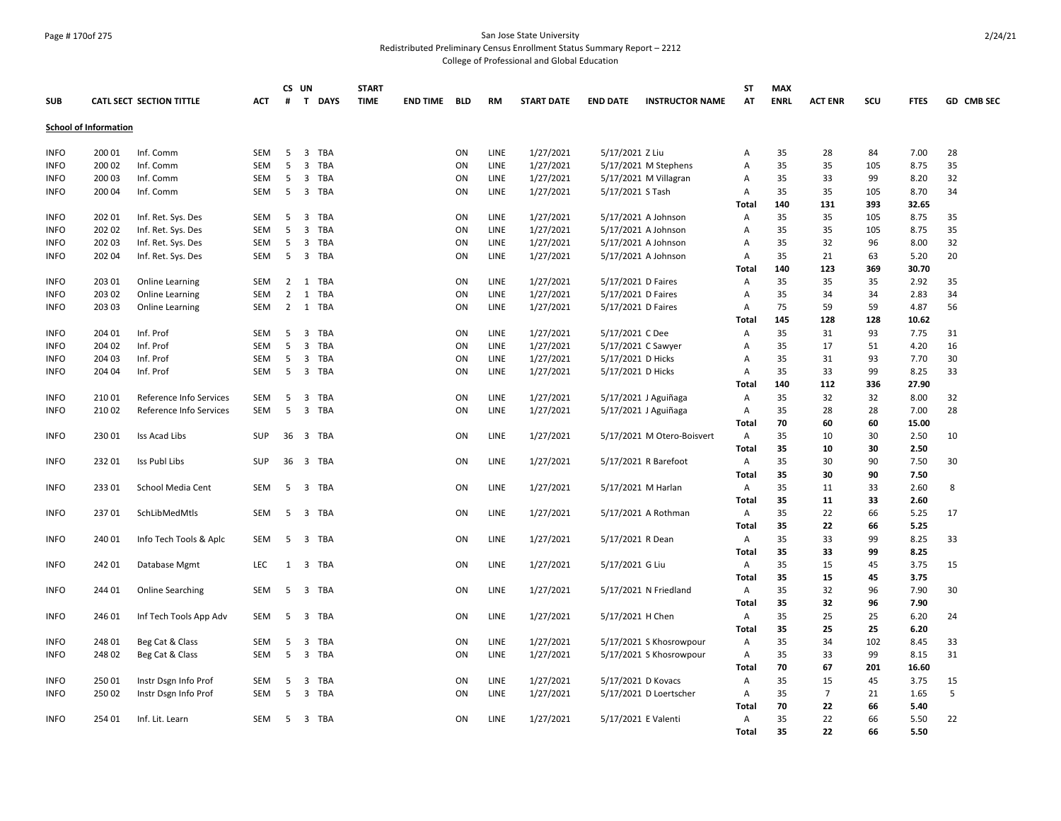## Page # 170of 275 San Jose State University

Redistributed Preliminary Census Enrollment Status Summary Report – 2212

|             |                              |                          |            | CS UN          |                     | <b>START</b> |                     |    |           |                   |                     |                            | <b>ST</b> | <b>MAX</b> |                |     |             |            |
|-------------|------------------------------|--------------------------|------------|----------------|---------------------|--------------|---------------------|----|-----------|-------------------|---------------------|----------------------------|-----------|------------|----------------|-----|-------------|------------|
| <b>SUB</b>  |                              | CATL SECT SECTION TITTLE | ACT        | #              | T DAYS              | <b>TIME</b>  | <b>END TIME BLD</b> |    | <b>RM</b> | <b>START DATE</b> | <b>END DATE</b>     | <b>INSTRUCTOR NAME</b>     | AΤ        | ENRL       | <b>ACT ENR</b> | scu | <b>FTES</b> | GD CMB SEC |
|             | <b>School of Information</b> |                          |            |                |                     |              |                     |    |           |                   |                     |                            |           |            |                |     |             |            |
|             |                              |                          |            |                |                     |              |                     |    |           |                   |                     |                            |           |            |                |     |             |            |
| <b>INFO</b> | 200 01                       | Inf. Comm                | SEM        | 5              | 3 TBA               |              |                     | ON | LINE      | 1/27/2021         | 5/17/2021 Z Liu     |                            | Α         | 35         | 28             | 84  | 7.00        | 28         |
| <b>INFO</b> | 200 02                       | Inf. Comm                | <b>SEM</b> | 5              | 3<br>TBA            |              |                     | ON | LINE      | 1/27/2021         |                     | 5/17/2021 M Stephens       | Α         | 35         | 35             | 105 | 8.75        | 35         |
| <b>INFO</b> | 200 03                       | Inf. Comm                | SEM        | 5              | 3 TBA               |              |                     | ON | LINE      | 1/27/2021         |                     | 5/17/2021 M Villagran      | Α         | 35         | 33             | 99  | 8.20        | 32         |
| <b>INFO</b> | 200 04                       | Inf. Comm                | <b>SEM</b> | 5              | 3 TBA               |              |                     | ON | LINE      | 1/27/2021         | 5/17/2021 S Tash    |                            | Α         | 35         | 35             | 105 | 8.70        | 34         |
|             |                              |                          |            |                |                     |              |                     |    |           |                   |                     |                            | Total     | 140        | 131            | 393 | 32.65       |            |
| <b>INFO</b> | 202 01                       | Inf. Ret. Sys. Des       | <b>SEM</b> | 5              | 3 TBA               |              |                     | ON | LINE      | 1/27/2021         |                     | 5/17/2021 A Johnson        | Α         | 35         | 35             | 105 | 8.75        | 35         |
| <b>INFO</b> | 202 02                       | Inf. Ret. Sys. Des       | SEM        | 5              | 3 TBA               |              |                     | ON | LINE      | 1/27/2021         |                     | 5/17/2021 A Johnson        | Α         | 35         | 35             | 105 | 8.75        | 35         |
| <b>INFO</b> | 202 03                       | Inf. Ret. Sys. Des       | SEM        | 5              | 3 TBA               |              |                     | ON | LINE      | 1/27/2021         |                     | 5/17/2021 A Johnson        | Α         | 35         | 32             | 96  | 8.00        | 32         |
| <b>INFO</b> | 202 04                       | Inf. Ret. Sys. Des       | SEM        | 5              | 3 TBA               |              |                     | ON | LINE      | 1/27/2021         |                     | 5/17/2021 A Johnson        | Α         | 35         | 21             | 63  | 5.20        | 20         |
|             |                              |                          |            |                |                     |              |                     |    |           |                   |                     |                            | Total     | 140        | 123            | 369 | 30.70       |            |
| <b>INFO</b> | 203 01                       | Online Learning          | <b>SEM</b> | $\overline{2}$ | 1 TBA               |              |                     | ON | LINE      | 1/27/2021         | 5/17/2021 D Faires  |                            | Α         | 35         | 35             | 35  | 2.92        | 35         |
| <b>INFO</b> | 203 02                       | <b>Online Learning</b>   | <b>SEM</b> | $\overline{2}$ | 1 TBA               |              |                     | ON | LINE      | 1/27/2021         | 5/17/2021 D Faires  |                            | Α         | 35         | 34             | 34  | 2.83        | 34         |
| <b>INFO</b> | 203 03                       | Online Learning          | SEM        | $\overline{2}$ | 1 TBA               |              |                     | ON | LINE      | 1/27/2021         | 5/17/2021 D Faires  |                            | Α         | 75         | 59             | 59  | 4.87        | 56         |
|             |                              |                          |            |                |                     |              |                     |    |           |                   |                     |                            | Total     | 145        | 128            | 128 | 10.62       |            |
| <b>INFO</b> | 204 01                       | Inf. Prof                | SEM        | -5             | 3<br>TBA            |              |                     | ON | LINE      | 1/27/2021         | 5/17/2021 C Dee     |                            | Α         | 35         | 31             | 93  | 7.75        | 31         |
| <b>INFO</b> | 204 02                       | Inf. Prof                | SEM        | -5             | $\mathbf{3}$<br>TBA |              |                     | ON | LINE      | 1/27/2021         |                     | 5/17/2021 C Sawyer         | Α         | 35         | 17             | 51  | 4.20        | 16         |
| <b>INFO</b> | 204 03                       | Inf. Prof                | SEM        | 5              | 3<br>TBA            |              |                     | ON | LINE      | 1/27/2021         | 5/17/2021 D Hicks   |                            | Α         | 35         | 31             | 93  | 7.70        | 30         |
| <b>INFO</b> | 204 04                       | Inf. Prof                | SEM        | 5              | 3 TBA               |              |                     | ON | LINE      | 1/27/2021         | 5/17/2021 D Hicks   |                            | Α         | 35         | 33             | 99  | 8.25        | 33         |
|             |                              |                          |            |                |                     |              |                     |    |           |                   |                     |                            | Total     | 140        | 112            | 336 | 27.90       |            |
| <b>INFO</b> | 210 01                       | Reference Info Services  | <b>SEM</b> | 5              | 3 TBA               |              |                     | ON | LINE      | 1/27/2021         |                     | 5/17/2021 J Aguiñaga       | Α         | 35         | 32             | 32  | 8.00        | 32         |
| <b>INFO</b> | 21002                        | Reference Info Services  | <b>SEM</b> | 5              | 3 TBA               |              |                     | ON | LINE      | 1/27/2021         |                     | 5/17/2021 J Aguiñaga       | Α         | 35         | 28             | 28  | 7.00        | 28         |
|             |                              |                          |            |                |                     |              |                     |    |           |                   |                     |                            | Total     | 70         | 60             | 60  | 15.00       |            |
| <b>INFO</b> | 230 01                       | Iss Acad Libs            | <b>SUP</b> |                | 36 3 TBA            |              |                     | ON | LINE      | 1/27/2021         |                     | 5/17/2021 M Otero-Boisvert | A         | 35         | 10             | 30  | 2.50        | 10         |
|             |                              |                          |            |                |                     |              |                     |    |           |                   |                     |                            | Total     | 35         | 10             | 30  | 2.50        |            |
| <b>INFO</b> | 232 01                       | Iss Publ Libs            | <b>SUP</b> |                | 36 3 TBA            |              |                     | ON | LINE      | 1/27/2021         |                     | 5/17/2021 R Barefoot       | Α         | 35         | 30             | 90  | 7.50        | 30         |
|             |                              |                          |            |                |                     |              |                     |    |           |                   |                     |                            | Total     | 35         | 30             | 90  | 7.50        |            |
| <b>INFO</b> | 233 01                       | School Media Cent        | <b>SEM</b> |                | 5 3 TBA             |              |                     | ON | LINE      | 1/27/2021         |                     | 5/17/2021 M Harlan         | Α         | 35         | 11             | 33  | 2.60        | 8          |
|             |                              |                          |            |                |                     |              |                     |    |           |                   |                     |                            | Total     | 35         | 11             | 33  | 2.60        |            |
| <b>INFO</b> | 23701                        | SchLibMedMtls            | <b>SEM</b> | -5             | 3 TBA               |              |                     | ON | LINE      | 1/27/2021         |                     | 5/17/2021 A Rothman        | A         | 35         | 22             | 66  | 5.25        | 17         |
|             |                              |                          |            |                |                     |              |                     |    |           |                   |                     |                            | Total     | 35         | 22             | 66  | 5.25        |            |
| <b>INFO</b> | 240 01                       | Info Tech Tools & Aplc   | SEM        | 5              | 3 TBA               |              |                     | ON | LINE      | 1/27/2021         | 5/17/2021 R Dean    |                            | A         | 35         | 33             | 99  | 8.25        | 33         |
|             |                              |                          |            |                |                     |              |                     |    |           |                   |                     |                            | Total     | 35         | 33             | 99  | 8.25        |            |
| <b>INFO</b> | 242 01                       | Database Mgmt            | LEC        | 1              | 3 TBA               |              |                     | ON | LINE      | 1/27/2021         | 5/17/2021 G Liu     |                            | A         | 35         | 15             | 45  | 3.75        | 15         |
|             |                              |                          |            |                |                     |              |                     |    |           |                   |                     |                            | Total     | 35         | 15             | 45  | 3.75        |            |
| <b>INFO</b> | 244 01                       | <b>Online Searching</b>  | <b>SEM</b> | 5              | 3 TBA               |              |                     | ON | LINE      | 1/27/2021         |                     | 5/17/2021 N Friedland      | A         | 35         | 32             | 96  | 7.90        | 30         |
|             |                              |                          |            |                |                     |              |                     |    |           |                   |                     |                            | Total     | 35         | 32             | 96  | 7.90        |            |
| <b>INFO</b> | 246 01                       | Inf Tech Tools App Adv   | <b>SEM</b> | 5              | 3 TBA               |              |                     | ON | LINE      | 1/27/2021         | 5/17/2021 H Chen    |                            | A         | 35         | 25             | 25  | 6.20        | 24         |
|             |                              |                          |            |                |                     |              |                     |    |           |                   |                     |                            | Total     | 35         | 25             | 25  | 6.20        |            |
| <b>INFO</b> | 248 01                       | Beg Cat & Class          | <b>SEM</b> | 5              | 3 TBA               |              |                     | ON | LINE      | 1/27/2021         |                     | 5/17/2021 S Khosrowpour    | Α         | 35         | 34             | 102 | 8.45        | 33         |
| <b>INFO</b> | 248 02                       | Beg Cat & Class          | SEM        | 5 <sup>5</sup> | 3 TBA               |              |                     | ON | LINE      | 1/27/2021         |                     | 5/17/2021 S Khosrowpour    | Α         | 35         | 33             | 99  | 8.15        | 31         |
|             |                              |                          |            |                |                     |              |                     |    |           |                   |                     |                            | Total     | 70         | 67             | 201 | 16.60       |            |
| <b>INFO</b> | 250 01                       | Instr Dsgn Info Prof     | SEM        | 5              | 3 TBA               |              |                     | ON | LINE      | 1/27/2021         | 5/17/2021 D Kovacs  |                            | Α         | 35         | 15             | 45  | 3.75        | 15         |
| <b>INFO</b> | 250 02                       | Instr Dsgn Info Prof     | <b>SEM</b> | 5              | 3 TBA               |              |                     | ON | LINE      | 1/27/2021         |                     | 5/17/2021 D Loertscher     | Α         | 35         | $\overline{7}$ | 21  | 1.65        | 5          |
|             |                              |                          |            |                |                     |              |                     |    |           |                   |                     |                            | Total     | 70         | 22             | 66  | 5.40        |            |
| <b>INFO</b> | 254 01                       | Inf. Lit. Learn          | <b>SEM</b> | -5             | 3 TBA               |              |                     | ON | LINE      | 1/27/2021         | 5/17/2021 E Valenti |                            | A         | 35         | 22             | 66  | 5.50        | 22         |
|             |                              |                          |            |                |                     |              |                     |    |           |                   |                     |                            | Total     | 35         | 22             | 66  | 5.50        |            |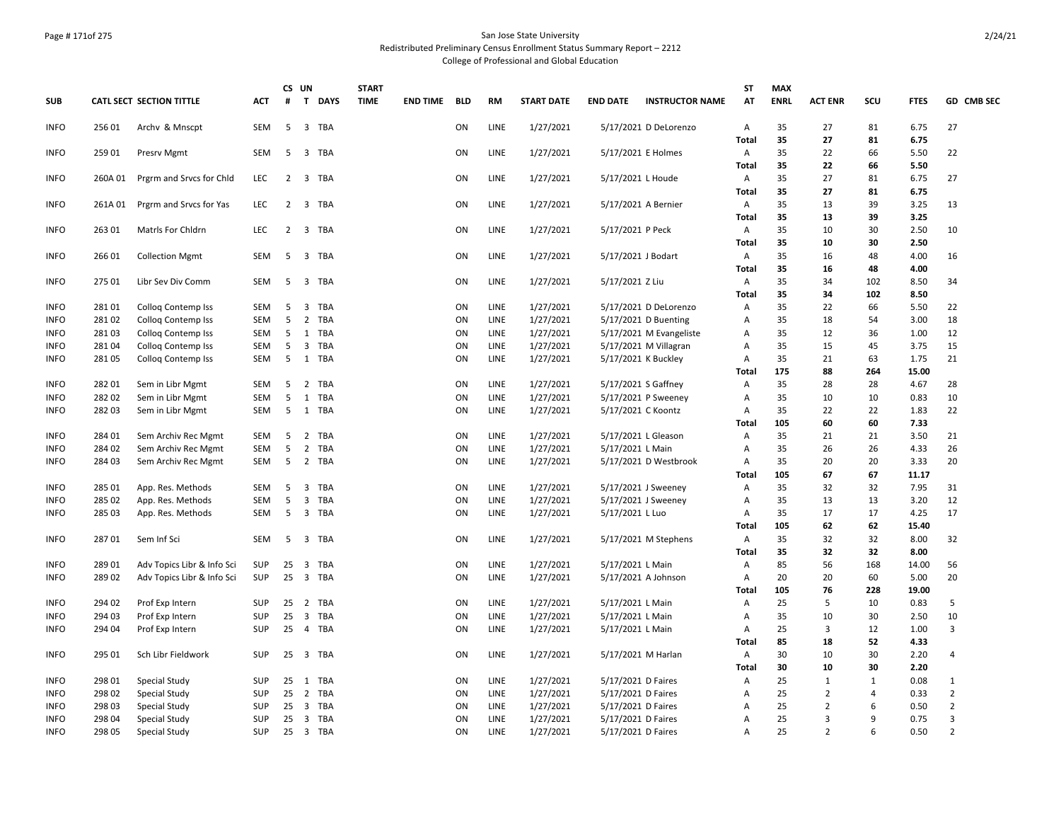#### Page # 171of 275 San Jose State University Redistributed Preliminary Census Enrollment Status Summary Report – 2212

| CATL SECT SECTION TITTLE<br>$\pmb{\sharp}$<br>T DAYS<br><b>TIME</b><br><b>START DATE</b><br><b>END DATE</b><br>AT<br><b>ENRL</b><br><b>ACT ENR</b><br>scu<br><b>FTES</b><br><b>SUB</b><br><b>ACT</b><br><b>END TIME BLD</b><br><b>RM</b><br><b>INSTRUCTOR NAME</b><br>35<br><b>INFO</b><br>256 01<br>SEM<br>5<br>3 TBA<br>ON<br>LINE<br>1/27/2021<br>5/17/2021 D DeLorenzo<br>A<br>27<br>81<br>6.75<br>27<br>Archy & Mnscpt<br>35<br>Total<br>27<br>81<br>6.75<br>35<br>66<br>22<br><b>INFO</b><br>25901<br>Presrv Mgmt<br><b>SEM</b><br>5<br>3 TBA<br>ON<br>LINE<br>1/27/2021<br>5/17/2021 E Holmes<br>A<br>22<br>5.50<br>35<br>22<br>66<br>5.50<br>Total<br>35<br>2<br>3 TBA<br>LINE<br>1/27/2021<br>A<br>27<br>81<br>6.75<br>27<br><b>INFO</b><br>260A 01<br>Prgrm and Srvcs for Chld<br>LEC<br>ON<br>5/17/2021 L Houde<br>35<br>Total<br>27<br>81<br>6.75<br>35<br>LINE<br>39<br>3.25<br>13<br><b>INFO</b><br>261A01<br>Prgrm and Srvcs for Yas<br>LEC<br>$\overline{2}$<br>3 TBA<br>ON<br>1/27/2021<br>5/17/2021 A Bernier<br>A<br>13<br>35<br>39<br>3.25<br>Total<br>13<br>35<br>LINE<br>1/27/2021<br>$\overline{A}$<br>30<br>2.50<br>10<br><b>INFO</b><br>263 01<br>Matris For Chidrn<br><b>LEC</b><br>2<br>$\overline{3}$<br>TBA<br>ON<br>5/17/2021 P Peck<br>10<br>35<br>2.50<br><b>Total</b><br>10<br>30<br>35<br>LINE<br><b>INFO</b><br>266 01<br>5<br>$\overline{3}$<br>TBA<br>ON<br>1/27/2021<br>5/17/2021 J Bodart<br>A<br>16<br>48<br>4.00<br>16<br><b>Collection Mgmt</b><br>SEM<br>35<br>48<br>4.00<br>Total<br>16<br>35<br><b>LINE</b><br><b>INFO</b><br>275 01<br>SEM<br>5<br>$\overline{3}$<br>TBA<br>ON<br>1/27/2021<br>5/17/2021 Z Liu<br>A<br>34<br>102<br>8.50<br>34<br>Libr Sev Div Comm<br>35<br><b>Total</b><br>34<br>102<br>8.50<br>35<br><b>LINE</b><br>22<br>66<br><b>INFO</b><br>28101<br>Collog Contemp Iss<br>SEM<br>5<br>$\overline{\mathbf{3}}$<br>TBA<br>ON<br>1/27/2021<br>5/17/2021 D DeLorenzo<br>A<br>5.50<br>22<br>35<br>28102<br>5<br>$\overline{2}$<br>TBA<br>ON<br>LINE<br>1/27/2021<br>3.00<br>18<br><b>INFO</b><br><b>Collog Contemp Iss</b><br><b>SEM</b><br>5/17/2021 D Buenting<br>Α<br>18<br>54<br><b>LINE</b><br>35<br>12<br>281 03<br>5<br>1 TBA<br>ON<br>1/27/2021<br>5/17/2021 M Evangeliste<br>12<br>36<br>1.00<br><b>INFO</b><br>Collog Contemp Iss<br><b>SEM</b><br>Α<br>LINE<br>1/27/2021<br>35<br>15<br><b>INFO</b><br>281 04<br>SEM<br>5<br>$\overline{3}$<br>TBA<br>ON<br>5/17/2021 M Villagran<br>A<br>15<br>45<br>3.75<br><b>Colloq Contemp Iss</b><br>5 1 TBA<br>LINE<br>1/27/2021<br>35<br>1.75<br>21<br><b>INFO</b><br>281 05<br>Colloq Contemp Iss<br>SEM<br>ON<br>5/17/2021 K Buckley<br>A<br>21<br>63<br>175<br>264<br>15.00<br>Total<br>88<br>35<br>282 01<br>ON<br>LINE<br>1/27/2021<br>5/17/2021 S Gaffney<br>A<br>28<br>4.67<br>28<br><b>INFO</b><br>Sem in Libr Mgmt<br><b>SEM</b><br>-5<br>$\overline{2}$<br>TBA<br>28<br>28202<br>5<br>ON<br>LINE<br>1/27/2021<br>35<br>10<br>SEM<br>TBA<br>5/17/2021 P Sweeney<br>$\overline{A}$<br>10<br>10<br>0.83<br><b>INFO</b><br>Sem in Libr Mgmt<br>1<br>LINE<br>1/27/2021<br>35<br>22<br>22<br>22<br><b>INFO</b><br>28203<br>Sem in Libr Mgmt<br>5 1 TBA<br>ON<br>5/17/2021 C Koontz<br>A<br>1.83<br>SEM<br>105<br>60<br>60<br>7.33<br>Total<br><b>INFO</b><br>284 01<br>5<br>$\overline{2}$<br>TBA<br>ON<br>LINE<br>1/27/2021<br>5/17/2021 L Gleason<br>A<br>35<br>21<br>21<br>3.50<br>21<br>Sem Archiv Rec Mgmt<br>SEM<br>35<br><b>INFO</b><br>284 02<br>5<br>$\overline{2}$<br>TBA<br>ON<br>LINE<br>1/27/2021<br>5/17/2021 L Main<br>A<br>26<br>26<br>4.33<br>26<br>Sem Archiv Rec Mgmt<br><b>SEM</b><br>35<br>20<br><b>INFO</b><br>284 03<br>5<br>2 TBA<br>ON<br>LINE<br>1/27/2021<br>5/17/2021 D Westbrook<br>A<br>20<br>20<br>3.33<br>Sem Archiv Rec Mgmt<br><b>SEM</b><br>105<br>67<br>67<br><b>Total</b><br>11.17<br>35<br>285 01<br>ON<br>LINE<br>1/27/2021<br>32<br>32<br>7.95<br>31<br><b>INFO</b><br>App. Res. Methods<br><b>SEM</b><br>5<br>3<br>TBA<br>5/17/2021 J Sweeney<br>Α<br>5<br>35<br>12<br>285 02<br>$\overline{3}$<br>TBA<br>ON<br>LINE<br>1/27/2021<br>13<br>13<br>3.20<br><b>INFO</b><br>App. Res. Methods<br><b>SEM</b><br>5/17/2021 J Sweeney<br>Α<br>35<br>17<br><b>INFO</b><br>285 03<br><b>SEM</b><br>5<br>3 TBA<br>ON<br>LINE<br>1/27/2021<br>5/17/2021 L Luo<br>A<br>17<br>17<br>4.25<br>App. Res. Methods<br>105<br>62<br>Total<br>62<br>15.40<br>35<br><b>SEM</b><br>LINE<br>1/27/2021<br>A<br>32<br>32<br>8.00<br>32<br><b>INFO</b><br>28701<br>Sem Inf Sci<br>5<br>$\overline{3}$<br>TBA<br>ON<br>5/17/2021 M Stephens<br>35<br>32<br>32<br>8.00<br>Total<br>85<br>28901<br>LINE<br>$\overline{A}$<br>56<br><b>INFO</b><br>Adv Topics Libr & Info Sci<br>SUP<br>25<br>$\overline{3}$<br>TBA<br>ON<br>1/27/2021<br>5/17/2021 L Main<br>168<br>14.00<br>56<br>25<br>LINE<br>1/27/2021<br>20<br>20<br>20<br><b>INFO</b><br>289 02<br>Adv Topics Libr & Info Sci<br>SUP<br>3 TBA<br>ON<br>5/17/2021 A Johnson<br>Α<br>60<br>5.00<br>105<br>76<br>228<br>19.00<br>Total<br>LINE<br><b>INFO</b><br>294 02<br>Prof Exp Intern<br>SUP<br>25<br>2 TBA<br>ON<br>1/27/2021<br>5/17/2021 L Main<br>A<br>25<br>5<br>10<br>0.83<br>5<br>25<br>35<br>10<br>294 03<br>Prof Exp Intern<br>$\overline{3}$<br>TBA<br>ON<br>LINE<br>1/27/2021<br>5/17/2021 L Main<br>A<br>10<br>30<br>2.50<br><b>INFO</b><br>SUP<br>$\mathbf{3}$<br>25<br>3<br><b>INFO</b><br>294 04<br>Prof Exp Intern<br>SUP<br>25  4  TBA<br>ON<br>LINE<br>1/27/2021<br>5/17/2021 L Main<br>A<br>12<br>1.00<br>85<br>18<br>52<br>Total<br>4.33<br>30<br><b>INFO</b><br>295 01<br>25<br>3 TBA<br>ON<br>LINE<br>1/27/2021<br>10<br>30<br>2.20<br>$\overline{4}$<br>Sch Libr Fieldwork<br><b>SUP</b><br>5/17/2021 M Harlan<br>A<br>30<br>2.20<br>10<br>30<br>Total<br>298 01<br><b>LINE</b><br>25<br>$\mathbf{1}$<br><b>INFO</b><br>Special Study<br>SUP<br>25<br>1 TBA<br>ON<br>1/27/2021<br>5/17/2021 D Faires<br>A<br>$\mathbf{1}$<br>$\mathbf{1}$<br>0.08<br>$\overline{2}$<br>298 02<br>25 2 TBA<br>ON<br><b>LINE</b><br>1/27/2021<br>25<br>$\overline{2}$<br>0.33<br><b>INFO</b><br>Special Study<br>SUP<br>5/17/2021 D Faires<br>Α<br>4<br>25<br>$\overline{2}$<br>LINE<br>1/27/2021<br>2<br>6<br>0.50<br><b>INFO</b><br>298 03<br>Special Study<br>SUP<br>25 3 TBA<br>ON<br>5/17/2021 D Faires<br>$\overline{A}$<br>$\overline{3}$<br>LINE<br>25<br>$\overline{3}$<br>25 3 TBA<br>ON<br>1/27/2021<br>5/17/2021 D Faires<br>A<br>9<br>0.75<br><b>INFO</b><br>298 04<br>Special Study<br><b>SUP</b><br>$\overline{2}$<br>$\overline{2}$<br>LINE<br>1/27/2021<br>25<br>0.50<br><b>INFO</b><br>298 05<br><b>Special Study</b><br>SUP<br>25 3 TBA<br>ON<br>5/17/2021 D Faires<br>Α<br>6 |  |  | CS UN | <b>START</b> |  |  |  | <b>ST</b> | <b>MAX</b> |  |            |
|--------------------------------------------------------------------------------------------------------------------------------------------------------------------------------------------------------------------------------------------------------------------------------------------------------------------------------------------------------------------------------------------------------------------------------------------------------------------------------------------------------------------------------------------------------------------------------------------------------------------------------------------------------------------------------------------------------------------------------------------------------------------------------------------------------------------------------------------------------------------------------------------------------------------------------------------------------------------------------------------------------------------------------------------------------------------------------------------------------------------------------------------------------------------------------------------------------------------------------------------------------------------------------------------------------------------------------------------------------------------------------------------------------------------------------------------------------------------------------------------------------------------------------------------------------------------------------------------------------------------------------------------------------------------------------------------------------------------------------------------------------------------------------------------------------------------------------------------------------------------------------------------------------------------------------------------------------------------------------------------------------------------------------------------------------------------------------------------------------------------------------------------------------------------------------------------------------------------------------------------------------------------------------------------------------------------------------------------------------------------------------------------------------------------------------------------------------------------------------------------------------------------------------------------------------------------------------------------------------------------------------------------------------------------------------------------------------------------------------------------------------------------------------------------------------------------------------------------------------------------------------------------------------------------------------------------------------------------------------------------------------------------------------------------------------------------------------------------------------------------------------------------------------------------------------------------------------------------------------------------------------------------------------------------------------------------------------------------------------------------------------------------------------------------------------------------------------------------------------------------------------------------------------------------------------------------------------------------------------------------------------------------------------------------------------------------------------------------------------------------------------------------------------------------------------------------------------------------------------------------------------------------------------------------------------------------------------------------------------------------------------------------------------------------------------------------------------------------------------------------------------------------------------------------------------------------------------------------------------------------------------------------------------------------------------------------------------------------------------------------------------------------------------------------------------------------------------------------------------------------------------------------------------------------------------------------------------------------------------------------------------------------------------------------------------------------------------------------------------------------------------------------------------------------------------------------------------------------------------------------------------------------------------------------------------------------------------------------------------------------------------------------------------------------------------------------------------------------------------------------------------------------------------------------------------------------------------------------------------------------------------------------------------------------------------------------------------------------------------------------------------------------------------------------------------------------------------------------------------------------------------------------------------------------------------------------------------------------------------------------------------------------------------------------------------------------------------------------------------------------------------------------------------------------------------------------------------------------------------------------------------------------------------------------------------------------------------------------------------------------------------------------------------------------------------------------------------------------------------------------------------------------------------------------------------------------------------------------------------------------------------------------------------------------------------------------------------------------------------------------------------------------------------------------------------------------------------------------------------------------------------------------------------------------------------------------------------------------------------------------------------------------------------------------------------------------------|--|--|-------|--------------|--|--|--|-----------|------------|--|------------|
|                                                                                                                                                                                                                                                                                                                                                                                                                                                                                                                                                                                                                                                                                                                                                                                                                                                                                                                                                                                                                                                                                                                                                                                                                                                                                                                                                                                                                                                                                                                                                                                                                                                                                                                                                                                                                                                                                                                                                                                                                                                                                                                                                                                                                                                                                                                                                                                                                                                                                                                                                                                                                                                                                                                                                                                                                                                                                                                                                                                                                                                                                                                                                                                                                                                                                                                                                                                                                                                                                                                                                                                                                                                                                                                                                                                                                                                                                                                                                                                                                                                                                                                                                                                                                                                                                                                                                                                                                                                                                                                                                                                                                                                                                                                                                                                                                                                                                                                                                                                                                                                                                                                                                                                                                                                                                                                                                                                                                                                                                                                                                                                                                                                                                                                                                                                                                                                                                                                                                                                                                                                                                                                                                                                                                                                                                                                                                                                                                                                                                                                                                                                                                                                                                                  |  |  |       |              |  |  |  |           |            |  | GD CMB SEC |
|                                                                                                                                                                                                                                                                                                                                                                                                                                                                                                                                                                                                                                                                                                                                                                                                                                                                                                                                                                                                                                                                                                                                                                                                                                                                                                                                                                                                                                                                                                                                                                                                                                                                                                                                                                                                                                                                                                                                                                                                                                                                                                                                                                                                                                                                                                                                                                                                                                                                                                                                                                                                                                                                                                                                                                                                                                                                                                                                                                                                                                                                                                                                                                                                                                                                                                                                                                                                                                                                                                                                                                                                                                                                                                                                                                                                                                                                                                                                                                                                                                                                                                                                                                                                                                                                                                                                                                                                                                                                                                                                                                                                                                                                                                                                                                                                                                                                                                                                                                                                                                                                                                                                                                                                                                                                                                                                                                                                                                                                                                                                                                                                                                                                                                                                                                                                                                                                                                                                                                                                                                                                                                                                                                                                                                                                                                                                                                                                                                                                                                                                                                                                                                                                                                  |  |  |       |              |  |  |  |           |            |  |            |
|                                                                                                                                                                                                                                                                                                                                                                                                                                                                                                                                                                                                                                                                                                                                                                                                                                                                                                                                                                                                                                                                                                                                                                                                                                                                                                                                                                                                                                                                                                                                                                                                                                                                                                                                                                                                                                                                                                                                                                                                                                                                                                                                                                                                                                                                                                                                                                                                                                                                                                                                                                                                                                                                                                                                                                                                                                                                                                                                                                                                                                                                                                                                                                                                                                                                                                                                                                                                                                                                                                                                                                                                                                                                                                                                                                                                                                                                                                                                                                                                                                                                                                                                                                                                                                                                                                                                                                                                                                                                                                                                                                                                                                                                                                                                                                                                                                                                                                                                                                                                                                                                                                                                                                                                                                                                                                                                                                                                                                                                                                                                                                                                                                                                                                                                                                                                                                                                                                                                                                                                                                                                                                                                                                                                                                                                                                                                                                                                                                                                                                                                                                                                                                                                                                  |  |  |       |              |  |  |  |           |            |  |            |
|                                                                                                                                                                                                                                                                                                                                                                                                                                                                                                                                                                                                                                                                                                                                                                                                                                                                                                                                                                                                                                                                                                                                                                                                                                                                                                                                                                                                                                                                                                                                                                                                                                                                                                                                                                                                                                                                                                                                                                                                                                                                                                                                                                                                                                                                                                                                                                                                                                                                                                                                                                                                                                                                                                                                                                                                                                                                                                                                                                                                                                                                                                                                                                                                                                                                                                                                                                                                                                                                                                                                                                                                                                                                                                                                                                                                                                                                                                                                                                                                                                                                                                                                                                                                                                                                                                                                                                                                                                                                                                                                                                                                                                                                                                                                                                                                                                                                                                                                                                                                                                                                                                                                                                                                                                                                                                                                                                                                                                                                                                                                                                                                                                                                                                                                                                                                                                                                                                                                                                                                                                                                                                                                                                                                                                                                                                                                                                                                                                                                                                                                                                                                                                                                                                  |  |  |       |              |  |  |  |           |            |  |            |
|                                                                                                                                                                                                                                                                                                                                                                                                                                                                                                                                                                                                                                                                                                                                                                                                                                                                                                                                                                                                                                                                                                                                                                                                                                                                                                                                                                                                                                                                                                                                                                                                                                                                                                                                                                                                                                                                                                                                                                                                                                                                                                                                                                                                                                                                                                                                                                                                                                                                                                                                                                                                                                                                                                                                                                                                                                                                                                                                                                                                                                                                                                                                                                                                                                                                                                                                                                                                                                                                                                                                                                                                                                                                                                                                                                                                                                                                                                                                                                                                                                                                                                                                                                                                                                                                                                                                                                                                                                                                                                                                                                                                                                                                                                                                                                                                                                                                                                                                                                                                                                                                                                                                                                                                                                                                                                                                                                                                                                                                                                                                                                                                                                                                                                                                                                                                                                                                                                                                                                                                                                                                                                                                                                                                                                                                                                                                                                                                                                                                                                                                                                                                                                                                                                  |  |  |       |              |  |  |  |           |            |  |            |
|                                                                                                                                                                                                                                                                                                                                                                                                                                                                                                                                                                                                                                                                                                                                                                                                                                                                                                                                                                                                                                                                                                                                                                                                                                                                                                                                                                                                                                                                                                                                                                                                                                                                                                                                                                                                                                                                                                                                                                                                                                                                                                                                                                                                                                                                                                                                                                                                                                                                                                                                                                                                                                                                                                                                                                                                                                                                                                                                                                                                                                                                                                                                                                                                                                                                                                                                                                                                                                                                                                                                                                                                                                                                                                                                                                                                                                                                                                                                                                                                                                                                                                                                                                                                                                                                                                                                                                                                                                                                                                                                                                                                                                                                                                                                                                                                                                                                                                                                                                                                                                                                                                                                                                                                                                                                                                                                                                                                                                                                                                                                                                                                                                                                                                                                                                                                                                                                                                                                                                                                                                                                                                                                                                                                                                                                                                                                                                                                                                                                                                                                                                                                                                                                                                  |  |  |       |              |  |  |  |           |            |  |            |
|                                                                                                                                                                                                                                                                                                                                                                                                                                                                                                                                                                                                                                                                                                                                                                                                                                                                                                                                                                                                                                                                                                                                                                                                                                                                                                                                                                                                                                                                                                                                                                                                                                                                                                                                                                                                                                                                                                                                                                                                                                                                                                                                                                                                                                                                                                                                                                                                                                                                                                                                                                                                                                                                                                                                                                                                                                                                                                                                                                                                                                                                                                                                                                                                                                                                                                                                                                                                                                                                                                                                                                                                                                                                                                                                                                                                                                                                                                                                                                                                                                                                                                                                                                                                                                                                                                                                                                                                                                                                                                                                                                                                                                                                                                                                                                                                                                                                                                                                                                                                                                                                                                                                                                                                                                                                                                                                                                                                                                                                                                                                                                                                                                                                                                                                                                                                                                                                                                                                                                                                                                                                                                                                                                                                                                                                                                                                                                                                                                                                                                                                                                                                                                                                                                  |  |  |       |              |  |  |  |           |            |  |            |
|                                                                                                                                                                                                                                                                                                                                                                                                                                                                                                                                                                                                                                                                                                                                                                                                                                                                                                                                                                                                                                                                                                                                                                                                                                                                                                                                                                                                                                                                                                                                                                                                                                                                                                                                                                                                                                                                                                                                                                                                                                                                                                                                                                                                                                                                                                                                                                                                                                                                                                                                                                                                                                                                                                                                                                                                                                                                                                                                                                                                                                                                                                                                                                                                                                                                                                                                                                                                                                                                                                                                                                                                                                                                                                                                                                                                                                                                                                                                                                                                                                                                                                                                                                                                                                                                                                                                                                                                                                                                                                                                                                                                                                                                                                                                                                                                                                                                                                                                                                                                                                                                                                                                                                                                                                                                                                                                                                                                                                                                                                                                                                                                                                                                                                                                                                                                                                                                                                                                                                                                                                                                                                                                                                                                                                                                                                                                                                                                                                                                                                                                                                                                                                                                                                  |  |  |       |              |  |  |  |           |            |  |            |
|                                                                                                                                                                                                                                                                                                                                                                                                                                                                                                                                                                                                                                                                                                                                                                                                                                                                                                                                                                                                                                                                                                                                                                                                                                                                                                                                                                                                                                                                                                                                                                                                                                                                                                                                                                                                                                                                                                                                                                                                                                                                                                                                                                                                                                                                                                                                                                                                                                                                                                                                                                                                                                                                                                                                                                                                                                                                                                                                                                                                                                                                                                                                                                                                                                                                                                                                                                                                                                                                                                                                                                                                                                                                                                                                                                                                                                                                                                                                                                                                                                                                                                                                                                                                                                                                                                                                                                                                                                                                                                                                                                                                                                                                                                                                                                                                                                                                                                                                                                                                                                                                                                                                                                                                                                                                                                                                                                                                                                                                                                                                                                                                                                                                                                                                                                                                                                                                                                                                                                                                                                                                                                                                                                                                                                                                                                                                                                                                                                                                                                                                                                                                                                                                                                  |  |  |       |              |  |  |  |           |            |  |            |
|                                                                                                                                                                                                                                                                                                                                                                                                                                                                                                                                                                                                                                                                                                                                                                                                                                                                                                                                                                                                                                                                                                                                                                                                                                                                                                                                                                                                                                                                                                                                                                                                                                                                                                                                                                                                                                                                                                                                                                                                                                                                                                                                                                                                                                                                                                                                                                                                                                                                                                                                                                                                                                                                                                                                                                                                                                                                                                                                                                                                                                                                                                                                                                                                                                                                                                                                                                                                                                                                                                                                                                                                                                                                                                                                                                                                                                                                                                                                                                                                                                                                                                                                                                                                                                                                                                                                                                                                                                                                                                                                                                                                                                                                                                                                                                                                                                                                                                                                                                                                                                                                                                                                                                                                                                                                                                                                                                                                                                                                                                                                                                                                                                                                                                                                                                                                                                                                                                                                                                                                                                                                                                                                                                                                                                                                                                                                                                                                                                                                                                                                                                                                                                                                                                  |  |  |       |              |  |  |  |           |            |  |            |
|                                                                                                                                                                                                                                                                                                                                                                                                                                                                                                                                                                                                                                                                                                                                                                                                                                                                                                                                                                                                                                                                                                                                                                                                                                                                                                                                                                                                                                                                                                                                                                                                                                                                                                                                                                                                                                                                                                                                                                                                                                                                                                                                                                                                                                                                                                                                                                                                                                                                                                                                                                                                                                                                                                                                                                                                                                                                                                                                                                                                                                                                                                                                                                                                                                                                                                                                                                                                                                                                                                                                                                                                                                                                                                                                                                                                                                                                                                                                                                                                                                                                                                                                                                                                                                                                                                                                                                                                                                                                                                                                                                                                                                                                                                                                                                                                                                                                                                                                                                                                                                                                                                                                                                                                                                                                                                                                                                                                                                                                                                                                                                                                                                                                                                                                                                                                                                                                                                                                                                                                                                                                                                                                                                                                                                                                                                                                                                                                                                                                                                                                                                                                                                                                                                  |  |  |       |              |  |  |  |           |            |  |            |
|                                                                                                                                                                                                                                                                                                                                                                                                                                                                                                                                                                                                                                                                                                                                                                                                                                                                                                                                                                                                                                                                                                                                                                                                                                                                                                                                                                                                                                                                                                                                                                                                                                                                                                                                                                                                                                                                                                                                                                                                                                                                                                                                                                                                                                                                                                                                                                                                                                                                                                                                                                                                                                                                                                                                                                                                                                                                                                                                                                                                                                                                                                                                                                                                                                                                                                                                                                                                                                                                                                                                                                                                                                                                                                                                                                                                                                                                                                                                                                                                                                                                                                                                                                                                                                                                                                                                                                                                                                                                                                                                                                                                                                                                                                                                                                                                                                                                                                                                                                                                                                                                                                                                                                                                                                                                                                                                                                                                                                                                                                                                                                                                                                                                                                                                                                                                                                                                                                                                                                                                                                                                                                                                                                                                                                                                                                                                                                                                                                                                                                                                                                                                                                                                                                  |  |  |       |              |  |  |  |           |            |  |            |
|                                                                                                                                                                                                                                                                                                                                                                                                                                                                                                                                                                                                                                                                                                                                                                                                                                                                                                                                                                                                                                                                                                                                                                                                                                                                                                                                                                                                                                                                                                                                                                                                                                                                                                                                                                                                                                                                                                                                                                                                                                                                                                                                                                                                                                                                                                                                                                                                                                                                                                                                                                                                                                                                                                                                                                                                                                                                                                                                                                                                                                                                                                                                                                                                                                                                                                                                                                                                                                                                                                                                                                                                                                                                                                                                                                                                                                                                                                                                                                                                                                                                                                                                                                                                                                                                                                                                                                                                                                                                                                                                                                                                                                                                                                                                                                                                                                                                                                                                                                                                                                                                                                                                                                                                                                                                                                                                                                                                                                                                                                                                                                                                                                                                                                                                                                                                                                                                                                                                                                                                                                                                                                                                                                                                                                                                                                                                                                                                                                                                                                                                                                                                                                                                                                  |  |  |       |              |  |  |  |           |            |  |            |
|                                                                                                                                                                                                                                                                                                                                                                                                                                                                                                                                                                                                                                                                                                                                                                                                                                                                                                                                                                                                                                                                                                                                                                                                                                                                                                                                                                                                                                                                                                                                                                                                                                                                                                                                                                                                                                                                                                                                                                                                                                                                                                                                                                                                                                                                                                                                                                                                                                                                                                                                                                                                                                                                                                                                                                                                                                                                                                                                                                                                                                                                                                                                                                                                                                                                                                                                                                                                                                                                                                                                                                                                                                                                                                                                                                                                                                                                                                                                                                                                                                                                                                                                                                                                                                                                                                                                                                                                                                                                                                                                                                                                                                                                                                                                                                                                                                                                                                                                                                                                                                                                                                                                                                                                                                                                                                                                                                                                                                                                                                                                                                                                                                                                                                                                                                                                                                                                                                                                                                                                                                                                                                                                                                                                                                                                                                                                                                                                                                                                                                                                                                                                                                                                                                  |  |  |       |              |  |  |  |           |            |  |            |
|                                                                                                                                                                                                                                                                                                                                                                                                                                                                                                                                                                                                                                                                                                                                                                                                                                                                                                                                                                                                                                                                                                                                                                                                                                                                                                                                                                                                                                                                                                                                                                                                                                                                                                                                                                                                                                                                                                                                                                                                                                                                                                                                                                                                                                                                                                                                                                                                                                                                                                                                                                                                                                                                                                                                                                                                                                                                                                                                                                                                                                                                                                                                                                                                                                                                                                                                                                                                                                                                                                                                                                                                                                                                                                                                                                                                                                                                                                                                                                                                                                                                                                                                                                                                                                                                                                                                                                                                                                                                                                                                                                                                                                                                                                                                                                                                                                                                                                                                                                                                                                                                                                                                                                                                                                                                                                                                                                                                                                                                                                                                                                                                                                                                                                                                                                                                                                                                                                                                                                                                                                                                                                                                                                                                                                                                                                                                                                                                                                                                                                                                                                                                                                                                                                  |  |  |       |              |  |  |  |           |            |  |            |
|                                                                                                                                                                                                                                                                                                                                                                                                                                                                                                                                                                                                                                                                                                                                                                                                                                                                                                                                                                                                                                                                                                                                                                                                                                                                                                                                                                                                                                                                                                                                                                                                                                                                                                                                                                                                                                                                                                                                                                                                                                                                                                                                                                                                                                                                                                                                                                                                                                                                                                                                                                                                                                                                                                                                                                                                                                                                                                                                                                                                                                                                                                                                                                                                                                                                                                                                                                                                                                                                                                                                                                                                                                                                                                                                                                                                                                                                                                                                                                                                                                                                                                                                                                                                                                                                                                                                                                                                                                                                                                                                                                                                                                                                                                                                                                                                                                                                                                                                                                                                                                                                                                                                                                                                                                                                                                                                                                                                                                                                                                                                                                                                                                                                                                                                                                                                                                                                                                                                                                                                                                                                                                                                                                                                                                                                                                                                                                                                                                                                                                                                                                                                                                                                                                  |  |  |       |              |  |  |  |           |            |  |            |
|                                                                                                                                                                                                                                                                                                                                                                                                                                                                                                                                                                                                                                                                                                                                                                                                                                                                                                                                                                                                                                                                                                                                                                                                                                                                                                                                                                                                                                                                                                                                                                                                                                                                                                                                                                                                                                                                                                                                                                                                                                                                                                                                                                                                                                                                                                                                                                                                                                                                                                                                                                                                                                                                                                                                                                                                                                                                                                                                                                                                                                                                                                                                                                                                                                                                                                                                                                                                                                                                                                                                                                                                                                                                                                                                                                                                                                                                                                                                                                                                                                                                                                                                                                                                                                                                                                                                                                                                                                                                                                                                                                                                                                                                                                                                                                                                                                                                                                                                                                                                                                                                                                                                                                                                                                                                                                                                                                                                                                                                                                                                                                                                                                                                                                                                                                                                                                                                                                                                                                                                                                                                                                                                                                                                                                                                                                                                                                                                                                                                                                                                                                                                                                                                                                  |  |  |       |              |  |  |  |           |            |  |            |
|                                                                                                                                                                                                                                                                                                                                                                                                                                                                                                                                                                                                                                                                                                                                                                                                                                                                                                                                                                                                                                                                                                                                                                                                                                                                                                                                                                                                                                                                                                                                                                                                                                                                                                                                                                                                                                                                                                                                                                                                                                                                                                                                                                                                                                                                                                                                                                                                                                                                                                                                                                                                                                                                                                                                                                                                                                                                                                                                                                                                                                                                                                                                                                                                                                                                                                                                                                                                                                                                                                                                                                                                                                                                                                                                                                                                                                                                                                                                                                                                                                                                                                                                                                                                                                                                                                                                                                                                                                                                                                                                                                                                                                                                                                                                                                                                                                                                                                                                                                                                                                                                                                                                                                                                                                                                                                                                                                                                                                                                                                                                                                                                                                                                                                                                                                                                                                                                                                                                                                                                                                                                                                                                                                                                                                                                                                                                                                                                                                                                                                                                                                                                                                                                                                  |  |  |       |              |  |  |  |           |            |  |            |
|                                                                                                                                                                                                                                                                                                                                                                                                                                                                                                                                                                                                                                                                                                                                                                                                                                                                                                                                                                                                                                                                                                                                                                                                                                                                                                                                                                                                                                                                                                                                                                                                                                                                                                                                                                                                                                                                                                                                                                                                                                                                                                                                                                                                                                                                                                                                                                                                                                                                                                                                                                                                                                                                                                                                                                                                                                                                                                                                                                                                                                                                                                                                                                                                                                                                                                                                                                                                                                                                                                                                                                                                                                                                                                                                                                                                                                                                                                                                                                                                                                                                                                                                                                                                                                                                                                                                                                                                                                                                                                                                                                                                                                                                                                                                                                                                                                                                                                                                                                                                                                                                                                                                                                                                                                                                                                                                                                                                                                                                                                                                                                                                                                                                                                                                                                                                                                                                                                                                                                                                                                                                                                                                                                                                                                                                                                                                                                                                                                                                                                                                                                                                                                                                                                  |  |  |       |              |  |  |  |           |            |  |            |
|                                                                                                                                                                                                                                                                                                                                                                                                                                                                                                                                                                                                                                                                                                                                                                                                                                                                                                                                                                                                                                                                                                                                                                                                                                                                                                                                                                                                                                                                                                                                                                                                                                                                                                                                                                                                                                                                                                                                                                                                                                                                                                                                                                                                                                                                                                                                                                                                                                                                                                                                                                                                                                                                                                                                                                                                                                                                                                                                                                                                                                                                                                                                                                                                                                                                                                                                                                                                                                                                                                                                                                                                                                                                                                                                                                                                                                                                                                                                                                                                                                                                                                                                                                                                                                                                                                                                                                                                                                                                                                                                                                                                                                                                                                                                                                                                                                                                                                                                                                                                                                                                                                                                                                                                                                                                                                                                                                                                                                                                                                                                                                                                                                                                                                                                                                                                                                                                                                                                                                                                                                                                                                                                                                                                                                                                                                                                                                                                                                                                                                                                                                                                                                                                                                  |  |  |       |              |  |  |  |           |            |  |            |
|                                                                                                                                                                                                                                                                                                                                                                                                                                                                                                                                                                                                                                                                                                                                                                                                                                                                                                                                                                                                                                                                                                                                                                                                                                                                                                                                                                                                                                                                                                                                                                                                                                                                                                                                                                                                                                                                                                                                                                                                                                                                                                                                                                                                                                                                                                                                                                                                                                                                                                                                                                                                                                                                                                                                                                                                                                                                                                                                                                                                                                                                                                                                                                                                                                                                                                                                                                                                                                                                                                                                                                                                                                                                                                                                                                                                                                                                                                                                                                                                                                                                                                                                                                                                                                                                                                                                                                                                                                                                                                                                                                                                                                                                                                                                                                                                                                                                                                                                                                                                                                                                                                                                                                                                                                                                                                                                                                                                                                                                                                                                                                                                                                                                                                                                                                                                                                                                                                                                                                                                                                                                                                                                                                                                                                                                                                                                                                                                                                                                                                                                                                                                                                                                                                  |  |  |       |              |  |  |  |           |            |  |            |
|                                                                                                                                                                                                                                                                                                                                                                                                                                                                                                                                                                                                                                                                                                                                                                                                                                                                                                                                                                                                                                                                                                                                                                                                                                                                                                                                                                                                                                                                                                                                                                                                                                                                                                                                                                                                                                                                                                                                                                                                                                                                                                                                                                                                                                                                                                                                                                                                                                                                                                                                                                                                                                                                                                                                                                                                                                                                                                                                                                                                                                                                                                                                                                                                                                                                                                                                                                                                                                                                                                                                                                                                                                                                                                                                                                                                                                                                                                                                                                                                                                                                                                                                                                                                                                                                                                                                                                                                                                                                                                                                                                                                                                                                                                                                                                                                                                                                                                                                                                                                                                                                                                                                                                                                                                                                                                                                                                                                                                                                                                                                                                                                                                                                                                                                                                                                                                                                                                                                                                                                                                                                                                                                                                                                                                                                                                                                                                                                                                                                                                                                                                                                                                                                                                  |  |  |       |              |  |  |  |           |            |  |            |
|                                                                                                                                                                                                                                                                                                                                                                                                                                                                                                                                                                                                                                                                                                                                                                                                                                                                                                                                                                                                                                                                                                                                                                                                                                                                                                                                                                                                                                                                                                                                                                                                                                                                                                                                                                                                                                                                                                                                                                                                                                                                                                                                                                                                                                                                                                                                                                                                                                                                                                                                                                                                                                                                                                                                                                                                                                                                                                                                                                                                                                                                                                                                                                                                                                                                                                                                                                                                                                                                                                                                                                                                                                                                                                                                                                                                                                                                                                                                                                                                                                                                                                                                                                                                                                                                                                                                                                                                                                                                                                                                                                                                                                                                                                                                                                                                                                                                                                                                                                                                                                                                                                                                                                                                                                                                                                                                                                                                                                                                                                                                                                                                                                                                                                                                                                                                                                                                                                                                                                                                                                                                                                                                                                                                                                                                                                                                                                                                                                                                                                                                                                                                                                                                                                  |  |  |       |              |  |  |  |           |            |  |            |
|                                                                                                                                                                                                                                                                                                                                                                                                                                                                                                                                                                                                                                                                                                                                                                                                                                                                                                                                                                                                                                                                                                                                                                                                                                                                                                                                                                                                                                                                                                                                                                                                                                                                                                                                                                                                                                                                                                                                                                                                                                                                                                                                                                                                                                                                                                                                                                                                                                                                                                                                                                                                                                                                                                                                                                                                                                                                                                                                                                                                                                                                                                                                                                                                                                                                                                                                                                                                                                                                                                                                                                                                                                                                                                                                                                                                                                                                                                                                                                                                                                                                                                                                                                                                                                                                                                                                                                                                                                                                                                                                                                                                                                                                                                                                                                                                                                                                                                                                                                                                                                                                                                                                                                                                                                                                                                                                                                                                                                                                                                                                                                                                                                                                                                                                                                                                                                                                                                                                                                                                                                                                                                                                                                                                                                                                                                                                                                                                                                                                                                                                                                                                                                                                                                  |  |  |       |              |  |  |  |           |            |  |            |
|                                                                                                                                                                                                                                                                                                                                                                                                                                                                                                                                                                                                                                                                                                                                                                                                                                                                                                                                                                                                                                                                                                                                                                                                                                                                                                                                                                                                                                                                                                                                                                                                                                                                                                                                                                                                                                                                                                                                                                                                                                                                                                                                                                                                                                                                                                                                                                                                                                                                                                                                                                                                                                                                                                                                                                                                                                                                                                                                                                                                                                                                                                                                                                                                                                                                                                                                                                                                                                                                                                                                                                                                                                                                                                                                                                                                                                                                                                                                                                                                                                                                                                                                                                                                                                                                                                                                                                                                                                                                                                                                                                                                                                                                                                                                                                                                                                                                                                                                                                                                                                                                                                                                                                                                                                                                                                                                                                                                                                                                                                                                                                                                                                                                                                                                                                                                                                                                                                                                                                                                                                                                                                                                                                                                                                                                                                                                                                                                                                                                                                                                                                                                                                                                                                  |  |  |       |              |  |  |  |           |            |  |            |
|                                                                                                                                                                                                                                                                                                                                                                                                                                                                                                                                                                                                                                                                                                                                                                                                                                                                                                                                                                                                                                                                                                                                                                                                                                                                                                                                                                                                                                                                                                                                                                                                                                                                                                                                                                                                                                                                                                                                                                                                                                                                                                                                                                                                                                                                                                                                                                                                                                                                                                                                                                                                                                                                                                                                                                                                                                                                                                                                                                                                                                                                                                                                                                                                                                                                                                                                                                                                                                                                                                                                                                                                                                                                                                                                                                                                                                                                                                                                                                                                                                                                                                                                                                                                                                                                                                                                                                                                                                                                                                                                                                                                                                                                                                                                                                                                                                                                                                                                                                                                                                                                                                                                                                                                                                                                                                                                                                                                                                                                                                                                                                                                                                                                                                                                                                                                                                                                                                                                                                                                                                                                                                                                                                                                                                                                                                                                                                                                                                                                                                                                                                                                                                                                                                  |  |  |       |              |  |  |  |           |            |  |            |
|                                                                                                                                                                                                                                                                                                                                                                                                                                                                                                                                                                                                                                                                                                                                                                                                                                                                                                                                                                                                                                                                                                                                                                                                                                                                                                                                                                                                                                                                                                                                                                                                                                                                                                                                                                                                                                                                                                                                                                                                                                                                                                                                                                                                                                                                                                                                                                                                                                                                                                                                                                                                                                                                                                                                                                                                                                                                                                                                                                                                                                                                                                                                                                                                                                                                                                                                                                                                                                                                                                                                                                                                                                                                                                                                                                                                                                                                                                                                                                                                                                                                                                                                                                                                                                                                                                                                                                                                                                                                                                                                                                                                                                                                                                                                                                                                                                                                                                                                                                                                                                                                                                                                                                                                                                                                                                                                                                                                                                                                                                                                                                                                                                                                                                                                                                                                                                                                                                                                                                                                                                                                                                                                                                                                                                                                                                                                                                                                                                                                                                                                                                                                                                                                                                  |  |  |       |              |  |  |  |           |            |  |            |
|                                                                                                                                                                                                                                                                                                                                                                                                                                                                                                                                                                                                                                                                                                                                                                                                                                                                                                                                                                                                                                                                                                                                                                                                                                                                                                                                                                                                                                                                                                                                                                                                                                                                                                                                                                                                                                                                                                                                                                                                                                                                                                                                                                                                                                                                                                                                                                                                                                                                                                                                                                                                                                                                                                                                                                                                                                                                                                                                                                                                                                                                                                                                                                                                                                                                                                                                                                                                                                                                                                                                                                                                                                                                                                                                                                                                                                                                                                                                                                                                                                                                                                                                                                                                                                                                                                                                                                                                                                                                                                                                                                                                                                                                                                                                                                                                                                                                                                                                                                                                                                                                                                                                                                                                                                                                                                                                                                                                                                                                                                                                                                                                                                                                                                                                                                                                                                                                                                                                                                                                                                                                                                                                                                                                                                                                                                                                                                                                                                                                                                                                                                                                                                                                                                  |  |  |       |              |  |  |  |           |            |  |            |
|                                                                                                                                                                                                                                                                                                                                                                                                                                                                                                                                                                                                                                                                                                                                                                                                                                                                                                                                                                                                                                                                                                                                                                                                                                                                                                                                                                                                                                                                                                                                                                                                                                                                                                                                                                                                                                                                                                                                                                                                                                                                                                                                                                                                                                                                                                                                                                                                                                                                                                                                                                                                                                                                                                                                                                                                                                                                                                                                                                                                                                                                                                                                                                                                                                                                                                                                                                                                                                                                                                                                                                                                                                                                                                                                                                                                                                                                                                                                                                                                                                                                                                                                                                                                                                                                                                                                                                                                                                                                                                                                                                                                                                                                                                                                                                                                                                                                                                                                                                                                                                                                                                                                                                                                                                                                                                                                                                                                                                                                                                                                                                                                                                                                                                                                                                                                                                                                                                                                                                                                                                                                                                                                                                                                                                                                                                                                                                                                                                                                                                                                                                                                                                                                                                  |  |  |       |              |  |  |  |           |            |  |            |
|                                                                                                                                                                                                                                                                                                                                                                                                                                                                                                                                                                                                                                                                                                                                                                                                                                                                                                                                                                                                                                                                                                                                                                                                                                                                                                                                                                                                                                                                                                                                                                                                                                                                                                                                                                                                                                                                                                                                                                                                                                                                                                                                                                                                                                                                                                                                                                                                                                                                                                                                                                                                                                                                                                                                                                                                                                                                                                                                                                                                                                                                                                                                                                                                                                                                                                                                                                                                                                                                                                                                                                                                                                                                                                                                                                                                                                                                                                                                                                                                                                                                                                                                                                                                                                                                                                                                                                                                                                                                                                                                                                                                                                                                                                                                                                                                                                                                                                                                                                                                                                                                                                                                                                                                                                                                                                                                                                                                                                                                                                                                                                                                                                                                                                                                                                                                                                                                                                                                                                                                                                                                                                                                                                                                                                                                                                                                                                                                                                                                                                                                                                                                                                                                                                  |  |  |       |              |  |  |  |           |            |  |            |
|                                                                                                                                                                                                                                                                                                                                                                                                                                                                                                                                                                                                                                                                                                                                                                                                                                                                                                                                                                                                                                                                                                                                                                                                                                                                                                                                                                                                                                                                                                                                                                                                                                                                                                                                                                                                                                                                                                                                                                                                                                                                                                                                                                                                                                                                                                                                                                                                                                                                                                                                                                                                                                                                                                                                                                                                                                                                                                                                                                                                                                                                                                                                                                                                                                                                                                                                                                                                                                                                                                                                                                                                                                                                                                                                                                                                                                                                                                                                                                                                                                                                                                                                                                                                                                                                                                                                                                                                                                                                                                                                                                                                                                                                                                                                                                                                                                                                                                                                                                                                                                                                                                                                                                                                                                                                                                                                                                                                                                                                                                                                                                                                                                                                                                                                                                                                                                                                                                                                                                                                                                                                                                                                                                                                                                                                                                                                                                                                                                                                                                                                                                                                                                                                                                  |  |  |       |              |  |  |  |           |            |  |            |
|                                                                                                                                                                                                                                                                                                                                                                                                                                                                                                                                                                                                                                                                                                                                                                                                                                                                                                                                                                                                                                                                                                                                                                                                                                                                                                                                                                                                                                                                                                                                                                                                                                                                                                                                                                                                                                                                                                                                                                                                                                                                                                                                                                                                                                                                                                                                                                                                                                                                                                                                                                                                                                                                                                                                                                                                                                                                                                                                                                                                                                                                                                                                                                                                                                                                                                                                                                                                                                                                                                                                                                                                                                                                                                                                                                                                                                                                                                                                                                                                                                                                                                                                                                                                                                                                                                                                                                                                                                                                                                                                                                                                                                                                                                                                                                                                                                                                                                                                                                                                                                                                                                                                                                                                                                                                                                                                                                                                                                                                                                                                                                                                                                                                                                                                                                                                                                                                                                                                                                                                                                                                                                                                                                                                                                                                                                                                                                                                                                                                                                                                                                                                                                                                                                  |  |  |       |              |  |  |  |           |            |  |            |
|                                                                                                                                                                                                                                                                                                                                                                                                                                                                                                                                                                                                                                                                                                                                                                                                                                                                                                                                                                                                                                                                                                                                                                                                                                                                                                                                                                                                                                                                                                                                                                                                                                                                                                                                                                                                                                                                                                                                                                                                                                                                                                                                                                                                                                                                                                                                                                                                                                                                                                                                                                                                                                                                                                                                                                                                                                                                                                                                                                                                                                                                                                                                                                                                                                                                                                                                                                                                                                                                                                                                                                                                                                                                                                                                                                                                                                                                                                                                                                                                                                                                                                                                                                                                                                                                                                                                                                                                                                                                                                                                                                                                                                                                                                                                                                                                                                                                                                                                                                                                                                                                                                                                                                                                                                                                                                                                                                                                                                                                                                                                                                                                                                                                                                                                                                                                                                                                                                                                                                                                                                                                                                                                                                                                                                                                                                                                                                                                                                                                                                                                                                                                                                                                                                  |  |  |       |              |  |  |  |           |            |  |            |
|                                                                                                                                                                                                                                                                                                                                                                                                                                                                                                                                                                                                                                                                                                                                                                                                                                                                                                                                                                                                                                                                                                                                                                                                                                                                                                                                                                                                                                                                                                                                                                                                                                                                                                                                                                                                                                                                                                                                                                                                                                                                                                                                                                                                                                                                                                                                                                                                                                                                                                                                                                                                                                                                                                                                                                                                                                                                                                                                                                                                                                                                                                                                                                                                                                                                                                                                                                                                                                                                                                                                                                                                                                                                                                                                                                                                                                                                                                                                                                                                                                                                                                                                                                                                                                                                                                                                                                                                                                                                                                                                                                                                                                                                                                                                                                                                                                                                                                                                                                                                                                                                                                                                                                                                                                                                                                                                                                                                                                                                                                                                                                                                                                                                                                                                                                                                                                                                                                                                                                                                                                                                                                                                                                                                                                                                                                                                                                                                                                                                                                                                                                                                                                                                                                  |  |  |       |              |  |  |  |           |            |  |            |
|                                                                                                                                                                                                                                                                                                                                                                                                                                                                                                                                                                                                                                                                                                                                                                                                                                                                                                                                                                                                                                                                                                                                                                                                                                                                                                                                                                                                                                                                                                                                                                                                                                                                                                                                                                                                                                                                                                                                                                                                                                                                                                                                                                                                                                                                                                                                                                                                                                                                                                                                                                                                                                                                                                                                                                                                                                                                                                                                                                                                                                                                                                                                                                                                                                                                                                                                                                                                                                                                                                                                                                                                                                                                                                                                                                                                                                                                                                                                                                                                                                                                                                                                                                                                                                                                                                                                                                                                                                                                                                                                                                                                                                                                                                                                                                                                                                                                                                                                                                                                                                                                                                                                                                                                                                                                                                                                                                                                                                                                                                                                                                                                                                                                                                                                                                                                                                                                                                                                                                                                                                                                                                                                                                                                                                                                                                                                                                                                                                                                                                                                                                                                                                                                                                  |  |  |       |              |  |  |  |           |            |  |            |
|                                                                                                                                                                                                                                                                                                                                                                                                                                                                                                                                                                                                                                                                                                                                                                                                                                                                                                                                                                                                                                                                                                                                                                                                                                                                                                                                                                                                                                                                                                                                                                                                                                                                                                                                                                                                                                                                                                                                                                                                                                                                                                                                                                                                                                                                                                                                                                                                                                                                                                                                                                                                                                                                                                                                                                                                                                                                                                                                                                                                                                                                                                                                                                                                                                                                                                                                                                                                                                                                                                                                                                                                                                                                                                                                                                                                                                                                                                                                                                                                                                                                                                                                                                                                                                                                                                                                                                                                                                                                                                                                                                                                                                                                                                                                                                                                                                                                                                                                                                                                                                                                                                                                                                                                                                                                                                                                                                                                                                                                                                                                                                                                                                                                                                                                                                                                                                                                                                                                                                                                                                                                                                                                                                                                                                                                                                                                                                                                                                                                                                                                                                                                                                                                                                  |  |  |       |              |  |  |  |           |            |  |            |
|                                                                                                                                                                                                                                                                                                                                                                                                                                                                                                                                                                                                                                                                                                                                                                                                                                                                                                                                                                                                                                                                                                                                                                                                                                                                                                                                                                                                                                                                                                                                                                                                                                                                                                                                                                                                                                                                                                                                                                                                                                                                                                                                                                                                                                                                                                                                                                                                                                                                                                                                                                                                                                                                                                                                                                                                                                                                                                                                                                                                                                                                                                                                                                                                                                                                                                                                                                                                                                                                                                                                                                                                                                                                                                                                                                                                                                                                                                                                                                                                                                                                                                                                                                                                                                                                                                                                                                                                                                                                                                                                                                                                                                                                                                                                                                                                                                                                                                                                                                                                                                                                                                                                                                                                                                                                                                                                                                                                                                                                                                                                                                                                                                                                                                                                                                                                                                                                                                                                                                                                                                                                                                                                                                                                                                                                                                                                                                                                                                                                                                                                                                                                                                                                                                  |  |  |       |              |  |  |  |           |            |  |            |
|                                                                                                                                                                                                                                                                                                                                                                                                                                                                                                                                                                                                                                                                                                                                                                                                                                                                                                                                                                                                                                                                                                                                                                                                                                                                                                                                                                                                                                                                                                                                                                                                                                                                                                                                                                                                                                                                                                                                                                                                                                                                                                                                                                                                                                                                                                                                                                                                                                                                                                                                                                                                                                                                                                                                                                                                                                                                                                                                                                                                                                                                                                                                                                                                                                                                                                                                                                                                                                                                                                                                                                                                                                                                                                                                                                                                                                                                                                                                                                                                                                                                                                                                                                                                                                                                                                                                                                                                                                                                                                                                                                                                                                                                                                                                                                                                                                                                                                                                                                                                                                                                                                                                                                                                                                                                                                                                                                                                                                                                                                                                                                                                                                                                                                                                                                                                                                                                                                                                                                                                                                                                                                                                                                                                                                                                                                                                                                                                                                                                                                                                                                                                                                                                                                  |  |  |       |              |  |  |  |           |            |  |            |
|                                                                                                                                                                                                                                                                                                                                                                                                                                                                                                                                                                                                                                                                                                                                                                                                                                                                                                                                                                                                                                                                                                                                                                                                                                                                                                                                                                                                                                                                                                                                                                                                                                                                                                                                                                                                                                                                                                                                                                                                                                                                                                                                                                                                                                                                                                                                                                                                                                                                                                                                                                                                                                                                                                                                                                                                                                                                                                                                                                                                                                                                                                                                                                                                                                                                                                                                                                                                                                                                                                                                                                                                                                                                                                                                                                                                                                                                                                                                                                                                                                                                                                                                                                                                                                                                                                                                                                                                                                                                                                                                                                                                                                                                                                                                                                                                                                                                                                                                                                                                                                                                                                                                                                                                                                                                                                                                                                                                                                                                                                                                                                                                                                                                                                                                                                                                                                                                                                                                                                                                                                                                                                                                                                                                                                                                                                                                                                                                                                                                                                                                                                                                                                                                                                  |  |  |       |              |  |  |  |           |            |  |            |
|                                                                                                                                                                                                                                                                                                                                                                                                                                                                                                                                                                                                                                                                                                                                                                                                                                                                                                                                                                                                                                                                                                                                                                                                                                                                                                                                                                                                                                                                                                                                                                                                                                                                                                                                                                                                                                                                                                                                                                                                                                                                                                                                                                                                                                                                                                                                                                                                                                                                                                                                                                                                                                                                                                                                                                                                                                                                                                                                                                                                                                                                                                                                                                                                                                                                                                                                                                                                                                                                                                                                                                                                                                                                                                                                                                                                                                                                                                                                                                                                                                                                                                                                                                                                                                                                                                                                                                                                                                                                                                                                                                                                                                                                                                                                                                                                                                                                                                                                                                                                                                                                                                                                                                                                                                                                                                                                                                                                                                                                                                                                                                                                                                                                                                                                                                                                                                                                                                                                                                                                                                                                                                                                                                                                                                                                                                                                                                                                                                                                                                                                                                                                                                                                                                  |  |  |       |              |  |  |  |           |            |  |            |
|                                                                                                                                                                                                                                                                                                                                                                                                                                                                                                                                                                                                                                                                                                                                                                                                                                                                                                                                                                                                                                                                                                                                                                                                                                                                                                                                                                                                                                                                                                                                                                                                                                                                                                                                                                                                                                                                                                                                                                                                                                                                                                                                                                                                                                                                                                                                                                                                                                                                                                                                                                                                                                                                                                                                                                                                                                                                                                                                                                                                                                                                                                                                                                                                                                                                                                                                                                                                                                                                                                                                                                                                                                                                                                                                                                                                                                                                                                                                                                                                                                                                                                                                                                                                                                                                                                                                                                                                                                                                                                                                                                                                                                                                                                                                                                                                                                                                                                                                                                                                                                                                                                                                                                                                                                                                                                                                                                                                                                                                                                                                                                                                                                                                                                                                                                                                                                                                                                                                                                                                                                                                                                                                                                                                                                                                                                                                                                                                                                                                                                                                                                                                                                                                                                  |  |  |       |              |  |  |  |           |            |  |            |
|                                                                                                                                                                                                                                                                                                                                                                                                                                                                                                                                                                                                                                                                                                                                                                                                                                                                                                                                                                                                                                                                                                                                                                                                                                                                                                                                                                                                                                                                                                                                                                                                                                                                                                                                                                                                                                                                                                                                                                                                                                                                                                                                                                                                                                                                                                                                                                                                                                                                                                                                                                                                                                                                                                                                                                                                                                                                                                                                                                                                                                                                                                                                                                                                                                                                                                                                                                                                                                                                                                                                                                                                                                                                                                                                                                                                                                                                                                                                                                                                                                                                                                                                                                                                                                                                                                                                                                                                                                                                                                                                                                                                                                                                                                                                                                                                                                                                                                                                                                                                                                                                                                                                                                                                                                                                                                                                                                                                                                                                                                                                                                                                                                                                                                                                                                                                                                                                                                                                                                                                                                                                                                                                                                                                                                                                                                                                                                                                                                                                                                                                                                                                                                                                                                  |  |  |       |              |  |  |  |           |            |  |            |
|                                                                                                                                                                                                                                                                                                                                                                                                                                                                                                                                                                                                                                                                                                                                                                                                                                                                                                                                                                                                                                                                                                                                                                                                                                                                                                                                                                                                                                                                                                                                                                                                                                                                                                                                                                                                                                                                                                                                                                                                                                                                                                                                                                                                                                                                                                                                                                                                                                                                                                                                                                                                                                                                                                                                                                                                                                                                                                                                                                                                                                                                                                                                                                                                                                                                                                                                                                                                                                                                                                                                                                                                                                                                                                                                                                                                                                                                                                                                                                                                                                                                                                                                                                                                                                                                                                                                                                                                                                                                                                                                                                                                                                                                                                                                                                                                                                                                                                                                                                                                                                                                                                                                                                                                                                                                                                                                                                                                                                                                                                                                                                                                                                                                                                                                                                                                                                                                                                                                                                                                                                                                                                                                                                                                                                                                                                                                                                                                                                                                                                                                                                                                                                                                                                  |  |  |       |              |  |  |  |           |            |  |            |
|                                                                                                                                                                                                                                                                                                                                                                                                                                                                                                                                                                                                                                                                                                                                                                                                                                                                                                                                                                                                                                                                                                                                                                                                                                                                                                                                                                                                                                                                                                                                                                                                                                                                                                                                                                                                                                                                                                                                                                                                                                                                                                                                                                                                                                                                                                                                                                                                                                                                                                                                                                                                                                                                                                                                                                                                                                                                                                                                                                                                                                                                                                                                                                                                                                                                                                                                                                                                                                                                                                                                                                                                                                                                                                                                                                                                                                                                                                                                                                                                                                                                                                                                                                                                                                                                                                                                                                                                                                                                                                                                                                                                                                                                                                                                                                                                                                                                                                                                                                                                                                                                                                                                                                                                                                                                                                                                                                                                                                                                                                                                                                                                                                                                                                                                                                                                                                                                                                                                                                                                                                                                                                                                                                                                                                                                                                                                                                                                                                                                                                                                                                                                                                                                                                  |  |  |       |              |  |  |  |           |            |  |            |
|                                                                                                                                                                                                                                                                                                                                                                                                                                                                                                                                                                                                                                                                                                                                                                                                                                                                                                                                                                                                                                                                                                                                                                                                                                                                                                                                                                                                                                                                                                                                                                                                                                                                                                                                                                                                                                                                                                                                                                                                                                                                                                                                                                                                                                                                                                                                                                                                                                                                                                                                                                                                                                                                                                                                                                                                                                                                                                                                                                                                                                                                                                                                                                                                                                                                                                                                                                                                                                                                                                                                                                                                                                                                                                                                                                                                                                                                                                                                                                                                                                                                                                                                                                                                                                                                                                                                                                                                                                                                                                                                                                                                                                                                                                                                                                                                                                                                                                                                                                                                                                                                                                                                                                                                                                                                                                                                                                                                                                                                                                                                                                                                                                                                                                                                                                                                                                                                                                                                                                                                                                                                                                                                                                                                                                                                                                                                                                                                                                                                                                                                                                                                                                                                                                  |  |  |       |              |  |  |  |           |            |  |            |
|                                                                                                                                                                                                                                                                                                                                                                                                                                                                                                                                                                                                                                                                                                                                                                                                                                                                                                                                                                                                                                                                                                                                                                                                                                                                                                                                                                                                                                                                                                                                                                                                                                                                                                                                                                                                                                                                                                                                                                                                                                                                                                                                                                                                                                                                                                                                                                                                                                                                                                                                                                                                                                                                                                                                                                                                                                                                                                                                                                                                                                                                                                                                                                                                                                                                                                                                                                                                                                                                                                                                                                                                                                                                                                                                                                                                                                                                                                                                                                                                                                                                                                                                                                                                                                                                                                                                                                                                                                                                                                                                                                                                                                                                                                                                                                                                                                                                                                                                                                                                                                                                                                                                                                                                                                                                                                                                                                                                                                                                                                                                                                                                                                                                                                                                                                                                                                                                                                                                                                                                                                                                                                                                                                                                                                                                                                                                                                                                                                                                                                                                                                                                                                                                                                  |  |  |       |              |  |  |  |           |            |  |            |
|                                                                                                                                                                                                                                                                                                                                                                                                                                                                                                                                                                                                                                                                                                                                                                                                                                                                                                                                                                                                                                                                                                                                                                                                                                                                                                                                                                                                                                                                                                                                                                                                                                                                                                                                                                                                                                                                                                                                                                                                                                                                                                                                                                                                                                                                                                                                                                                                                                                                                                                                                                                                                                                                                                                                                                                                                                                                                                                                                                                                                                                                                                                                                                                                                                                                                                                                                                                                                                                                                                                                                                                                                                                                                                                                                                                                                                                                                                                                                                                                                                                                                                                                                                                                                                                                                                                                                                                                                                                                                                                                                                                                                                                                                                                                                                                                                                                                                                                                                                                                                                                                                                                                                                                                                                                                                                                                                                                                                                                                                                                                                                                                                                                                                                                                                                                                                                                                                                                                                                                                                                                                                                                                                                                                                                                                                                                                                                                                                                                                                                                                                                                                                                                                                                  |  |  |       |              |  |  |  |           |            |  |            |
|                                                                                                                                                                                                                                                                                                                                                                                                                                                                                                                                                                                                                                                                                                                                                                                                                                                                                                                                                                                                                                                                                                                                                                                                                                                                                                                                                                                                                                                                                                                                                                                                                                                                                                                                                                                                                                                                                                                                                                                                                                                                                                                                                                                                                                                                                                                                                                                                                                                                                                                                                                                                                                                                                                                                                                                                                                                                                                                                                                                                                                                                                                                                                                                                                                                                                                                                                                                                                                                                                                                                                                                                                                                                                                                                                                                                                                                                                                                                                                                                                                                                                                                                                                                                                                                                                                                                                                                                                                                                                                                                                                                                                                                                                                                                                                                                                                                                                                                                                                                                                                                                                                                                                                                                                                                                                                                                                                                                                                                                                                                                                                                                                                                                                                                                                                                                                                                                                                                                                                                                                                                                                                                                                                                                                                                                                                                                                                                                                                                                                                                                                                                                                                                                                                  |  |  |       |              |  |  |  |           |            |  |            |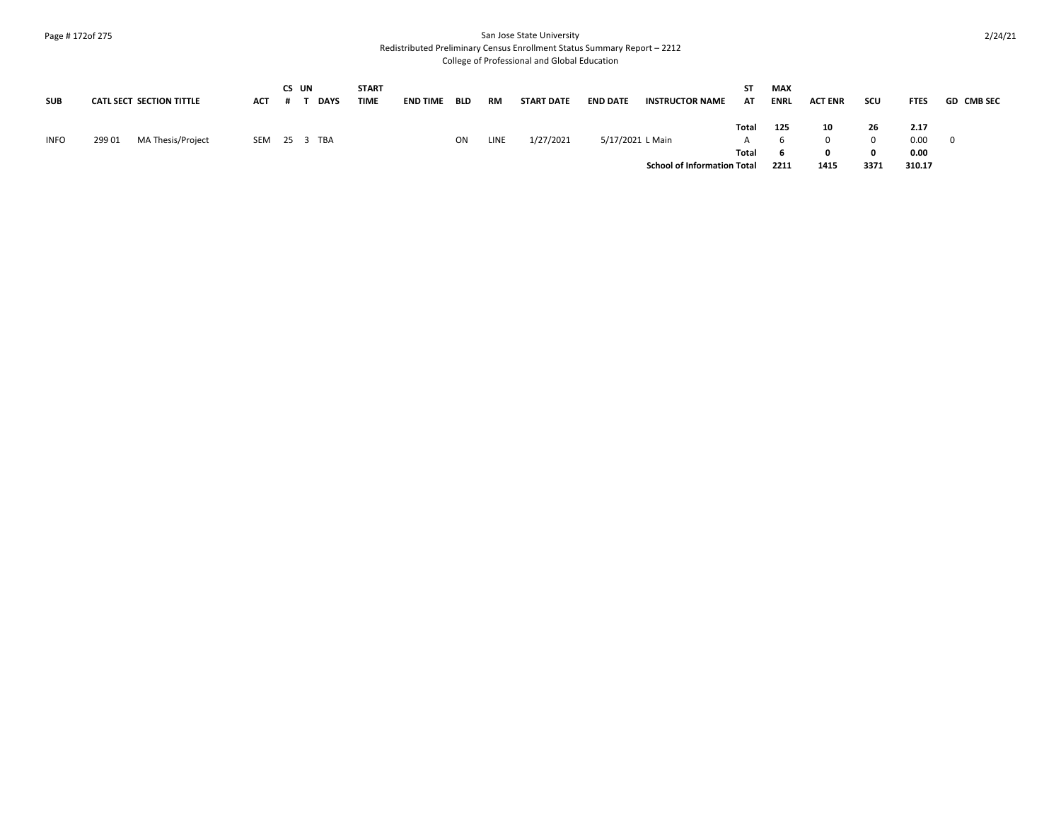### Page # 172of 275 San Jose State University

Redistributed Preliminary Census Enrollment Status Summary Report – 2212

| <b>SUB</b>  | CATL SECT SECTION TITTLE    | ACT | CS UN | <b>DAYS</b>  | <b>START</b><br><b>TIME</b> | <b>END TIME</b> | <b>BLD</b> | <b>RM</b> | <b>START DATE</b> | <b>END DATE</b>  | <b>INSTRUCTOR NAME</b>             | ST.<br>AT | MAX<br>ENRL | <b>ACT ENR</b> | scu  | <b>FTES</b> | <b>GD CMB SEC</b> |
|-------------|-----------------------------|-----|-------|--------------|-----------------------------|-----------------|------------|-----------|-------------------|------------------|------------------------------------|-----------|-------------|----------------|------|-------------|-------------------|
|             |                             |     |       |              |                             |                 |            |           |                   |                  |                                    | Total     | 125         | 10             | 26   | 2.17        |                   |
| <b>INFO</b> | MA Thesis/Project<br>299 01 |     |       | SEM 25 3 TBA |                             |                 | ON         | LINE      | 1/27/2021         | 5/17/2021 L Main |                                    | A         |             |                |      | 0.00        | - 0               |
|             |                             |     |       |              |                             |                 |            |           |                   |                  |                                    | Total     |             |                |      | 0.00        |                   |
|             |                             |     |       |              |                             |                 |            |           |                   |                  | <b>School of Information Total</b> |           | 2211        | 1415           | 3371 | 310.17      |                   |